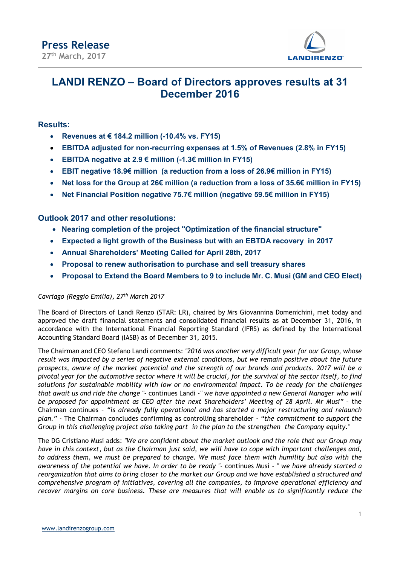

## LANDI RENZO – Board of Directors approves results at 31 December 2016

## Results:

- Revenues at € 184.2 million  $(-10.4\% \text{ vs. } FY15)$
- EBITDA adjusted for non-recurring expenses at 1.5% of Revenues (2.8% in FY15)
- **EBITDA negative at 2.9 € million (-1.3€ million in FY15)**
- EBIT negative 18.9€ million (a reduction from a loss of 26.9€ million in FY15)
- Net loss for the Group at 26€ million (a reduction from a loss of 35.6€ million in FY15)
- Net Financial Position negative 75.7€ million (negative 59.5€ million in FY15)

## Outlook 2017 and other resolutions:

- Nearing completion of the project "Optimization of the financial structure"
- Expected a light growth of the Business but with an EBTDA recovery in 2017
- Annual Shareholders' Meeting Called for April 28th, 2017
- Proposal to renew authorisation to purchase and sell treasury shares
- Proposal to Extend the Board Members to 9 to include Mr. C. Musi (GM and CEO Elect)

#### Cavriago (Reggio Emilia), 27<sup>th</sup> March 2017

The Board of Directors of Landi Renzo (STAR: LR), chaired by Mrs Giovannina Domenichini, met today and approved the draft financial statements and consolidated financial results as at December 31, 2016, in accordance with the International Financial Reporting Standard (IFRS) as defined by the International Accounting Standard Board (IASB) as of December 31, 2015.

The Chairman and CEO Stefano Landi comments: "2016 was another very difficult year for our Group, whose result was impacted by a series of negative external conditions, but we remain positive about the future prospects, aware of the market potential and the strength of our brands and products. 2017 will be a pivotal year for the automotive sector where it will be crucial, for the survival of the sector itself, to find solutions for sustainable mobility with low or no environmental impact. To be ready for the challenges that await us and ride the change "- continues Landi -" we have appointed a new General Manager who will be proposed for appointment as CEO after the next Shareholders' Meeting of 28 April. Mr Musi" – the Chairman continues – "is already fully operational and has started a major restructuring and relaunch plan." - The Chairman concludes confirming as controlling shareholder - "the commitment to support the Group in this challenging project also taking part in the plan to the strengthen the Company equity."

The DG Cristiano Musi adds: "We are confident about the market outlook and the role that our Group may have in this context, but as the Chairman just said, we will have to cope with important challenges and, to address them, we must be prepared to change. We must face them with humility but also with the awareness of the potential we have. In order to be ready "- continues Musi - " we have already started a reorganization that aims to bring closer to the market our Group and we have established a structured and comprehensive program of initiatives, covering all the companies, to improve operational efficiency and recover margins on core business. These are measures that will enable us to significantly reduce the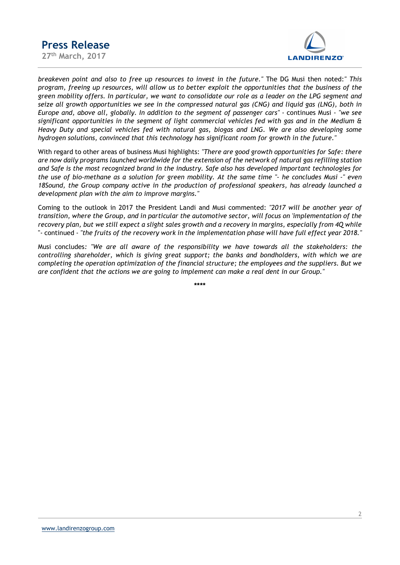

breakeven point and also to free up resources to invest in the future." The DG Musi then noted:" This program, freeing up resources, will allow us to better exploit the opportunities that the business of the green mobility offers. In particular, we want to consolidate our role as a leader on the LPG segment and seize all growth opportunities we see in the compressed natural gas (CNG) and liquid gas (LNG), both in Europe and, above all, globally. In addition to the segment of passenger cars" - continues Musi - "we see significant opportunities in the segment of light commercial vehicles fed with gas and in the Medium & Heavy Duty and special vehicles fed with natural gas, biogas and LNG. We are also developing some hydrogen solutions, convinced that this technology has significant room for growth in the future."

With regard to other areas of business Musi highlights: "There are good growth opportunities for Safe: there are now daily programs launched worldwide for the extension of the network of natural gas refilling station and Safe is the most recognized brand in the industry. Safe also has developed important technologies for the use of bio-methane as a solution for green mobility. At the same time "- he concludes Musi -" even 18Sound, the Group company active in the production of professional speakers, has already launched a development plan with the aim to improve margins."

Coming to the outlook in 2017 the President Landi and Musi commented: "2017 will be another year of transition, where the Group, and in particular the automotive sector, will focus on 'implementation of the recovery plan, but we still expect a slight sales growth and a recovery in margins, especially from 4Q while "- continued - "the fruits of the recovery work in the implementation phase will have full effect year 2018."

Musi concludes: "We are all aware of the responsibility we have towards all the stakeholders: the controlling shareholder, which is giving great support; the banks and bondholders, with which we are completing the operation optimization of the financial structure; the employees and the suppliers. But we are confident that the actions we are going to implement can make a real dent in our Group."

\*\*\*\*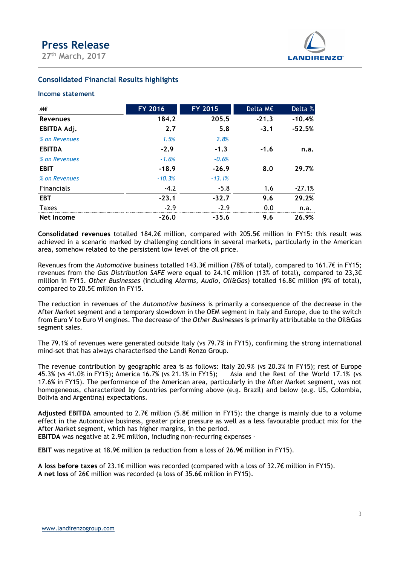

### Consolidated Financial Results highlights

#### Income statement

| <b>Press Release</b>                             |                     |                     |          |                   |  |
|--------------------------------------------------|---------------------|---------------------|----------|-------------------|--|
|                                                  |                     |                     |          |                   |  |
| 27th March, 2017                                 |                     |                     |          | <b>LANDIRENZO</b> |  |
| <b>Consolidated Financial Results highlights</b> |                     |                     |          |                   |  |
| <b>Income statement</b>                          |                     |                     |          |                   |  |
| М€                                               | FY 2016             | FY 2015             | Delta M€ | Delta %           |  |
| <b>Revenues</b>                                  | 184.2               | 205.5               | $-21.3$  | $-10.4%$          |  |
| EBITDA Adj.                                      | 2.7                 | 5.8                 | $-3.1$   | $-52.5%$          |  |
| % on Revenues                                    | 1.5%                | 2.8%                |          |                   |  |
| <b>EBITDA</b>                                    | $-2.9$              | $-1.3$              | $-1.6$   | n.a.              |  |
|                                                  | $-1.6%$             | $-0.6%$             |          |                   |  |
| % on Revenues                                    |                     |                     |          |                   |  |
|                                                  |                     |                     |          |                   |  |
| <b>EBIT</b><br>% on Revenues                     | $-18.9$<br>$-10.3%$ | $-26.9$<br>$-13.1%$ | 8.0      | 29.7%             |  |
| Financials                                       | $-4.2$              | $-5.8$              | 1.6      | $-27.1%$          |  |
| <b>EBT</b>                                       | $-23.1$             | $-32.7$             | 9.6      | 29.2%             |  |
| <b>Taxes</b>                                     | $-2.9$              | $-2.9$              | 0.0      | n.a.              |  |

Revenues from the Automotive business totalled 143.3€ million (78% of total), compared to 161.7€ in FY15; revenues from the Gas Distribution SAFE were equal to 24.1€ million (13% of total), compared to 23.3€ million in FY15. Other Businesses (including Alarms, Audio, Oil&Gas) totalled 16.8€ million (9% of total), compared to 20.5€ million in FY15.

The reduction in revenues of the Automotive business is primarily a consequence of the decrease in the After Market segment and a temporary slowdown in the OEM segment in Italy and Europe, due to the switch from Euro V to Euro VI engines. The decrease of the Other Businesses is primarily attributable to the Oil&Gas segment sales.

The 79.1% of revenues were generated outside Italy (vs 79.7% in FY15), confirming the strong international mind-set that has always characterised the Landi Renzo Group.

The revenue contribution by geographic area is as follows: Italy 20.9% (vs 20.3% in FY15); rest of Europe 45.3% (vs 41.0% in FY15); America 16.7% (vs 21.1% in FY15); Asia and the Rest of the World 17.1% (vs 17.6% in FY15). The performance of the American area, particularly in the After Market segment, was not homogeneous, characterized by Countries performing above (e.g. Brazil) and below (e.g. US, Colombia, Bolivia and Argentina) expectations.

Adjusted EBITDA amounted to 2.7€ million (5.8€ million in FY15): the change is mainly due to a volume effect in the Automotive business, greater price pressure as well as a less favourable product mix for the After Market segment, which has higher margins, in the period. EBITDA was negative at 2.9€ million, including non-recurring expenses -

EBIT was negative at 18.9€ million (a reduction from a loss of 26.9€ million in FY15).

A loss before taxes of 23.1€ million was recorded (compared with a loss of 32.7€ million in FY15). A net loss of 26€ million was recorded (a loss of 35.6€ million in FY15).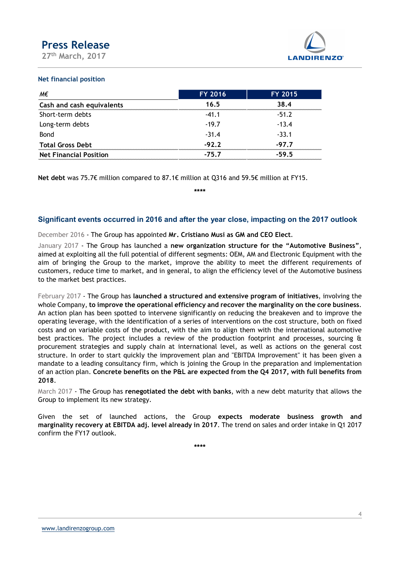

#### Net financial position

| <b>Press Release</b>          |         |                   |
|-------------------------------|---------|-------------------|
|                               |         |                   |
| 27th March, 2017              |         | <b>LANDIRENZO</b> |
| <b>Net financial position</b> |         |                   |
| M€                            | FY 2016 | FY 2015           |
| Cash and cash equivalents     | 16.5    | 38.4              |
| Short-term debts              | $-41.1$ | $-51.2$           |
|                               | $-19.7$ | $-13.4$           |
| Long-term debts               |         |                   |
| Bond                          | $-31.4$ | $-33.1$           |
| <b>Total Gross Debt</b>       | $-92.2$ | $-97.7$           |

### Significant events occurred in 2016 and after the year close, impacting on the 2017 outlook

#### December 2016 - The Group has appointed Mr. Cristiano Musi as GM and CEO Elect.

January 2017 - The Group has launched a new organization structure for the "Automotive Business", aimed at exploiting all the full potential of different segments: OEM, AM and Electronic Equipment with the aim of bringing the Group to the market, improve the ability to meet the different requirements of customers, reduce time to market, and in general, to align the efficiency level of the Automotive business to the market best practices.

February 2017 - The Group has launched a structured and extensive program of initiatives, involving the whole Company, to improve the operational efficiency and recover the marginality on the core business. An action plan has been spotted to intervene significantly on reducing the breakeven and to improve the operating leverage, with the identification of a series of interventions on the cost structure, both on fixed costs and on variable costs of the product, with the aim to align them with the international automotive best practices. The project includes a review of the production footprint and processes, sourcing & procurement strategies and supply chain at international level, as well as actions on the general cost structure. In order to start quickly the improvement plan and "EBITDA Improvement" it has been given a mandate to a leading consultancy firm, which is joining the Group in the preparation and implementation of an action plan. Concrete benefits on the P&L are expected from the Q4 2017, with full benefits from 2018.

March 2017 - The Group has renegotiated the debt with banks, with a new debt maturity that allows the Group to implement its new strategy.

Given the set of launched actions, the Group expects moderate business growth and marginality recovery at EBITDA adj. level already in 2017. The trend on sales and order intake in Q1 2017 confirm the FY17 outlook.

\*\*\*\*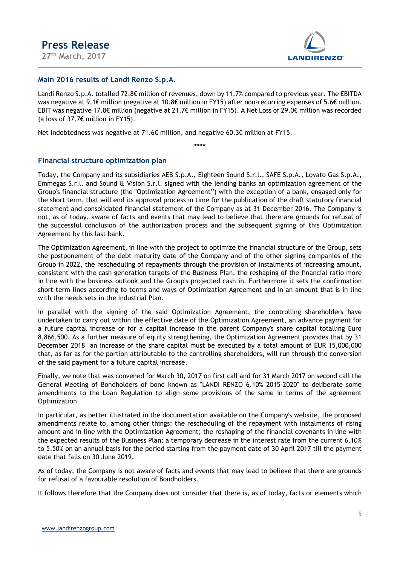

### Main 2016 results of Landi Renzo S.p.A.

Landi Renzo S.p.A. totalled 72.8€ million of revenues, down by 11.7% compared to previous year. The EBITDA was negative at 9.1€ million (negative at 10.8€ million in FY15) after non-recurring expenses of 5.6€ million. EBIT was negative 17.8€ million (negative at 21.7€ million in FY15). A Net Loss of 29.0€ million was recorded (a loss of 37.7€ million in FY15).

Net indebtedness was negative at 71.6€ million, and negative 60.3€ million at FY15.

\*\*\*\*

### Financial structure optimization plan

Today, the Company and its subsidiaries AEB S.p.A., Eighteen Sound S.r.l., SAFE S.p.A., Lovato Gas S.p.A., Emmegas S.r.l. and Sound & Vision S.r.l. signed with the lending banks an optimization agreement of the Group's financial structure (the "Optimization Agreement") with the exception of a bank, engaged only for the short term, that will end its approval process in time for the publication of the draft statutory financial statement and consolidated financial statement of the Company as at 31 December 2016. The Company is not, as of today, aware of facts and events that may lead to believe that there are grounds for refusal of the successful conclusion of the authorization process and the subsequent signing of this Optimization Agreement by this last bank.

The Optimization Agreement, in line with the project to optimize the financial structure of the Group, sets the postponement of the debt maturity date of the Company and of the other signing companies of the Group in 2022, the rescheduling of repayments through the provision of instalments of increasing amount, consistent with the cash generation targets of the Business Plan, the reshaping of the financial ratio more in line with the business outlook and the Group's projected cash in. Furthermore it sets the confirmation short-term lines according to terms and ways of Optimization Agreement and in an amount that is in line with the needs sets in the Industrial Plan.

In parallel with the signing of the said Optimization Agreement, the controlling shareholders have undertaken to carry out within the effective date of the Optimization Agreement, an advance payment for a future capital increase or for a capital increase in the parent Company's share capital totalling Euro 8,866,500. As a further measure of equity strengthening, the Optimization Agreement provides that by 31 December 2018 an increase of the share capital must be executed by a total amount of EUR 15,000,000 that, as far as for the portion attributable to the controlling shareholders, will run through the conversion of the said payment for a future capital increase.

Finally, we note that was convened for March 30, 2017 on first call and for 31 March 2017 on second call the General Meeting of Bondholders of bond known as "LANDI RENZO 6.10% 2015-2020" to deliberate some amendments to the Loan Regulation to align some provisions of the same in terms of the agreement Optimization.

In particular, as better illustrated in the documentation available on the Company's website, the proposed amendments relate to, among other things: the rescheduling of the repayment with instalments of rising amount and in line with the Optimization Agreement; the reshaping of the financial covenants in line with the expected results of the Business Plan; a temporary decrease in the interest rate from the current 6,10% to 5.50% on an annual basis for the period starting from the payment date of 30 April 2017 till the payment date that falls on 30 June 2019.

As of today, the Company is not aware of facts and events that may lead to believe that there are grounds for refusal of a favourable resolution of Bondholders.

It follows therefore that the Company does not consider that there is, as of today, facts or elements which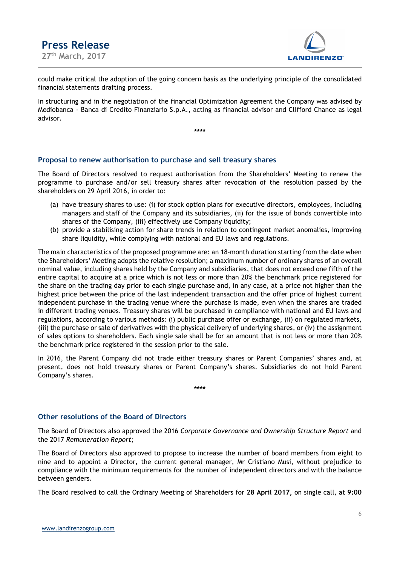

could make critical the adoption of the going concern basis as the underlying principle of the consolidated financial statements drafting process.

In structuring and in the negotiation of the financial Optimization Agreement the Company was advised by Mediobanca - Banca di Credito Finanziario S.p.A., acting as financial advisor and Clifford Chance as legal advisor.

\*\*\*\*

#### Proposal to renew authorisation to purchase and sell treasury shares

The Board of Directors resolved to request authorisation from the Shareholders' Meeting to renew the programme to purchase and/or sell treasury shares after revocation of the resolution passed by the shareholders on 29 April 2016, in order to:

- (a) have treasury shares to use: (i) for stock option plans for executive directors, employees, including managers and staff of the Company and its subsidiaries, (ii) for the issue of bonds convertible into shares of the Company, (iii) effectively use Company liquidity;
- (b) provide a stabilising action for share trends in relation to contingent market anomalies, improving share liquidity, while complying with national and EU laws and regulations.

The main characteristics of the proposed programme are: an 18-month duration starting from the date when the Shareholders' Meeting adopts the relative resolution; a maximum number of ordinary shares of an overall nominal value, including shares held by the Company and subsidiaries, that does not exceed one fifth of the entire capital to acquire at a price which is not less or more than 20% the benchmark price registered for the share on the trading day prior to each single purchase and, in any case, at a price not higher than the highest price between the price of the last independent transaction and the offer price of highest current independent purchase in the trading venue where the purchase is made, even when the shares are traded in different trading venues. Treasury shares will be purchased in compliance with national and EU laws and regulations, according to various methods: (i) public purchase offer or exchange, (ii) on regulated markets, (iii) the purchase or sale of derivatives with the physical delivery of underlying shares, or (iv) the assignment of sales options to shareholders. Each single sale shall be for an amount that is not less or more than 20% the benchmark price registered in the session prior to the sale.

In 2016, the Parent Company did not trade either treasury shares or Parent Companies' shares and, at present, does not hold treasury shares or Parent Company's shares. Subsidiaries do not hold Parent Company's shares.

\*\*\*\*

## Other resolutions of the Board of Directors

The Board of Directors also approved the 2016 Corporate Governance and Ownership Structure Report and the 2017 Remuneration Report;

The Board of Directors also approved to propose to increase the number of board members from eight to nine and to appoint a Director, the current general manager, Mr Cristiano Musi, without prejudice to compliance with the minimum requirements for the number of independent directors and with the balance between genders.

The Board resolved to call the Ordinary Meeting of Shareholders for 28 April 2017, on single call, at 9:00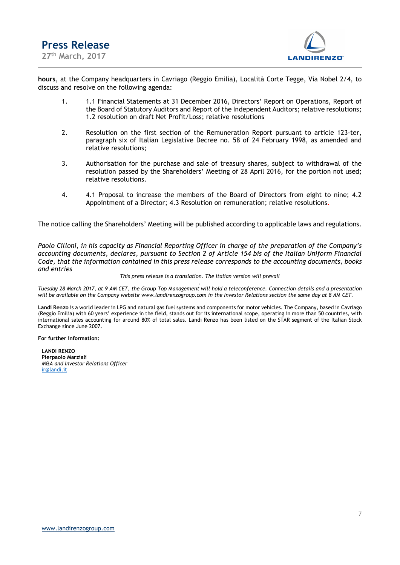

hours, at the Company headquarters in Cavriago (Reggio Emilia), Località Corte Tegge, Via Nobel 2/4, to discuss and resolve on the following agenda:

- 1. 1.1 Financial Statements at 31 December 2016, Directors' Report on Operations, Report of the Board of Statutory Auditors and Report of the Independent Auditors; relative resolutions; 1.2 resolution on draft Net Profit/Loss; relative resolutions
- 2. Resolution on the first section of the Remuneration Report pursuant to article 123-ter, paragraph six of Italian Legislative Decree no. 58 of 24 February 1998, as amended and relative resolutions;
- 3. Authorisation for the purchase and sale of treasury shares, subject to withdrawal of the resolution passed by the Shareholders' Meeting of 28 April 2016, for the portion not used; relative resolutions.
- 4. 4.1 Proposal to increase the members of the Board of Directors from eight to nine; 4.2 Appointment of a Director; 4.3 Resolution on remuneration; relative resolutions.

The notice calling the Shareholders' Meeting will be published according to applicable laws and regulations.

Paolo Cilloni, in his capacity as Financial Reporting Officer in charge of the preparation of the Company's accounting documents, declares, pursuant to Section 2 of Article 154 bis of the Italian Uniform Financial Code, that the information contained in this press release corresponds to the accounting documents, books and entries

#### This press release is a translation. The Italian version will prevail

. Tuesday 28 March 2017, at 9 AM CET, the Group Top Management will hold a teleconference. Connection details and a presentation will be available on the Company website www.landirenzogroup.com in the Investor Relations section the same day at 8 AM CET.

Landi Renzo is a world leader in LPG and natural gas fuel systems and components for motor vehicles. The Company, based in Cavriago (Reggio Emilia) with 60 years' experience in the field, stands out for its international scope, operating in more than 50 countries, with international sales accounting for around 80% of total sales. Landi Renzo has been listed on the STAR segment of the Italian Stock Exchange since June 2007.

For further information:

LANDI RENZO Pierpaolo Marziali M&A and Investor Relations Officer ir@landi.it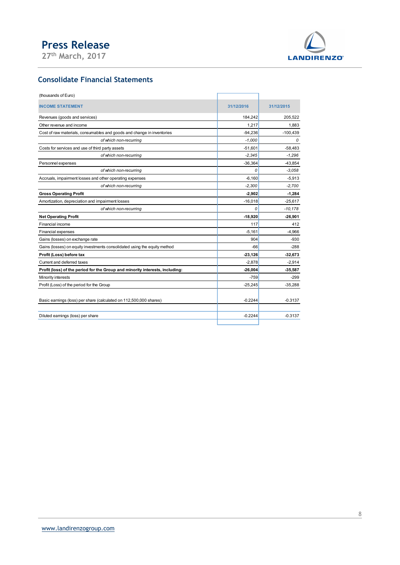

## Consolidate Financial Statements

| <b>Press Release</b><br>27th March, 2017                                     |                | <b>LANDIRENZO</b>      |
|------------------------------------------------------------------------------|----------------|------------------------|
| <b>Consolidate Financial Statements</b>                                      |                |                        |
| (thousands of Euro)                                                          |                |                        |
| <b>INCOME STATEMENT</b>                                                      | 31/12/2016     | 31/12/2015             |
| Revenues (goods and services)                                                | 184,242        | 205,522                |
| Other revenue and income                                                     | 1,217          | 1,883                  |
| Cost of raw materials, consumables and goods and change in inventories       | $-94,236$      | $-100,439$             |
| of which non-recurring                                                       | $-1,000$       | 0                      |
| Costs for services and use of third party assets                             | $-51,601$      | $-58,483$              |
| of which non-recurring                                                       | $-2,345$       | $-1,296$               |
| Personnel expenses                                                           | $-36,364$      | $-43,854$              |
| of which non-recurring                                                       | 0              | $-3,058$               |
| Accruals, impairment losses and other operating expenses                     | $-6,160$       | $-5,913$               |
| of which non-recurring                                                       | $-2,300$       | $-2,700$               |
| <b>Gross Operating Profit</b>                                                | $-2,902$       | $-1,284$               |
| Amortization, depreciation and impairment losses<br>of which non-recurring   | $-16,018$<br>0 | $-25,617$<br>$-10,178$ |
| <b>Net Operating Profit</b>                                                  | $-18,920$      | $-26,901$              |
| Financial income                                                             | 117            | 412                    |
| Financial expenses                                                           | $-5,161$       | $-4,966$               |
| Gains (losses) on exchange rate                                              | 904            | -930                   |
| Gains (losses) on equity investments consolidated using the equity method    | $-66$          | -288                   |
| Profit (Loss) before tax                                                     | $-23,126$      | $-32,673$              |
| Current and deferred taxes                                                   | $-2,878$       | $-2,914$               |
| Profit (loss) of the period for the Group and minority interests, including: | $-26,004$      | -35,587                |
| Minority interests                                                           | $-759$         | $-299$                 |
| Profit (Loss) of the period for the Group                                    | $-25,245$      | $-35,288$              |
| Basic earnings (loss) per share (calculated on 112,500,000 shares)           | $-0.2244$      | $-0.3137$              |
| Diluted earnings (loss) per share                                            | $-0.2244$      | $-0.3137$              |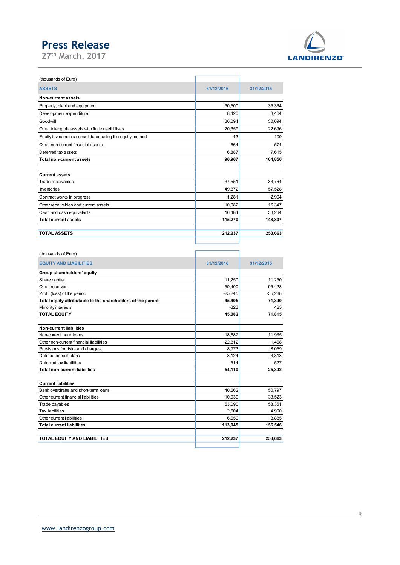

| <b>Press Release</b>                                              |                   |                   |
|-------------------------------------------------------------------|-------------------|-------------------|
|                                                                   |                   |                   |
| 27 <sup>th</sup> March, 2017                                      |                   |                   |
|                                                                   |                   |                   |
| (thousands of Euro)                                               |                   |                   |
| <b>ASSETS</b>                                                     | 31/12/2016        | 31/12/2015        |
|                                                                   |                   |                   |
| Non-current assets                                                |                   |                   |
| Property, plant and equipment                                     | 30,500            | 35,364            |
| Development expenditure                                           | 8,420<br>30,094   | 8,404<br>30,094   |
| Goodwill<br>Other intangible assets with finite useful lives      | 20,359            | 22,696            |
| Equity investments consolidated using the equity method           | 43                | 109               |
| Other non-current financial assets                                | 664               | 574               |
| Deferred tax assets                                               | 6,887             | 7,615             |
| <b>Total non-current assets</b>                                   | 96,967            | 104,856           |
|                                                                   |                   |                   |
| <b>Current assets</b>                                             |                   |                   |
| Trade receivables                                                 | 37,551            | 33,764            |
| Inventories                                                       | 49,872            | 57,528            |
| Contract works in progress                                        | 1,281             | 2,904             |
| Other receivables and current assets                              | 10,082            | 16,347            |
| Cash and cash equivalents<br><b>Total current assets</b>          | 16,484<br>115,270 | 38,264<br>148,807 |
|                                                                   |                   |                   |
| <b>TOTAL ASSETS</b>                                               | 212,237           | 253,663           |
|                                                                   |                   |                   |
|                                                                   |                   |                   |
| (thousands of Euro)<br><b>EQUITY AND LIABILITIES</b>              | 31/12/2016        | 31/12/2015        |
| Group shareholders' equity                                        |                   |                   |
| Share capital                                                     | 11,250            | 11,250            |
| Other reserves                                                    | 59,400            | 95,428            |
| Profit (loss) of the period                                       | $-25,245$         | $-35,288$         |
| Total equity attributable to the shareholders of the parent       | 45,405            | 71,390            |
| Minority interests                                                | $-323$            | 425               |
| <b>TOTAL EQUITY</b>                                               | 45,082            | 71,815            |
| Non-current liabilities                                           |                   |                   |
|                                                                   | 18,687            | 11,935            |
|                                                                   |                   |                   |
| Non-current bank loans<br>Other non-current financial liabilities | 22,812            | 1,468             |

| =quity ::::souritoritie oor::oo::aatoa ao::::g u.lo oquity :::ou:loa |            | $\cdot$ .  |
|----------------------------------------------------------------------|------------|------------|
| Other non-current financial assets                                   | 664        | 574        |
| Deferred tax assets                                                  | 6,887      | 7,615      |
| <b>Total non-current assets</b>                                      | 96,967     | 104,856    |
|                                                                      |            |            |
| <b>Current assets</b>                                                |            |            |
| Trade receivables                                                    | 37,551     | 33,764     |
| Inventories                                                          | 49,872     | 57,528     |
|                                                                      | 1,281      | 2,904      |
| Contract works in progress                                           |            |            |
| Other receivables and current assets                                 | 10,082     | 16,347     |
| Cash and cash equivalents                                            | 16,484     | 38,264     |
| <b>Total current assets</b>                                          | 115,270    | 148,807    |
|                                                                      |            |            |
| <b>TOTAL ASSETS</b>                                                  | 212,237    | 253,663    |
|                                                                      |            |            |
|                                                                      |            |            |
| (thousands of Euro)                                                  |            |            |
| <b>EQUITY AND LIABILITIES</b>                                        | 31/12/2016 | 31/12/2015 |
| Group shareholders' equity                                           |            |            |
| Share capital                                                        | 11,250     | 11,250     |
| Other reserves                                                       | 59,400     | 95,428     |
| Profit (loss) of the period                                          | $-25,245$  | $-35,288$  |
| Total equity attributable to the shareholders of the parent          | 45,405     | 71,390     |
| Minority interests                                                   | $-323$     | 425        |
| <b>TOTAL EQUITY</b>                                                  | 45,082     | 71,815     |
|                                                                      |            |            |
| <b>Non-current liabilities</b>                                       |            |            |
| Non-current bank loans                                               | 18,687     | 11,935     |
| Other non-current financial liabilities                              | 22,812     | 1,468      |
| Provisions for risks and charges                                     | 8,973      | 8,059      |
| Defined benefit plans                                                | 3,124      | 3,313      |
| Deferred tax liabilities                                             | 514        | 527        |
| <b>Total non-current liabilities</b>                                 | 54,110     | 25,302     |
|                                                                      |            |            |
| <b>Current liabilities</b>                                           |            |            |
| Bank overdrafts and short-term loans                                 | 40,662     | 50,797     |
| Other current financial liabilities                                  | 10,039     | 33,523     |
| Trade payables                                                       | 53,090     | 58,351     |
| <b>Tax liabilities</b>                                               | 2,604      | 4,990      |
| Other current liabilities                                            | 6,650      | 8,885      |
| <b>Total current liabilities</b>                                     | 113,045    | 156,546    |
|                                                                      |            |            |
|                                                                      | 212,237    | 253,663    |
| TOTAL EQUITY AND LIABILITIES                                         |            |            |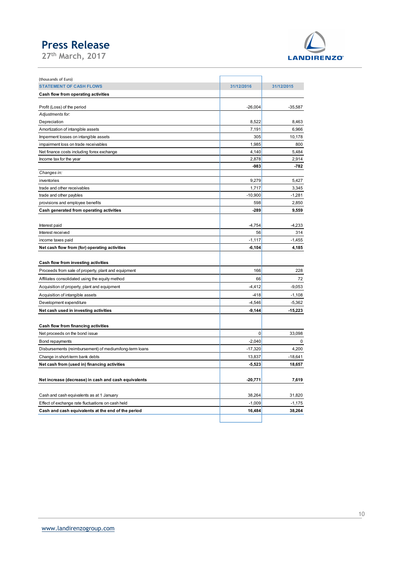

| <b>Press Release</b>                                                                       |                     |                    |
|--------------------------------------------------------------------------------------------|---------------------|--------------------|
| 27th March, 2017                                                                           |                     | <b>LANDIRENZO</b>  |
|                                                                                            |                     |                    |
| (thousands of Euro)<br><b>STATEMENT OF CASH FLOWS</b>                                      | 31/12/2016          | 31/12/2015         |
| Cash flow from operating activities                                                        |                     |                    |
| Profit (Loss) of the period                                                                | $-26,004$           | $-35,587$          |
| Adjustments for:                                                                           |                     |                    |
| Depreciation                                                                               | 8,522               | 8,463              |
| Amortization of intangible assets                                                          | 7,191<br>305        | 6,966              |
| Imperment losses on intangible assets<br>impairment loss on trade receivables              | 1,985               | 10,178<br>800      |
| Net finance costs including forex exchange                                                 | 4,140               | 5,484              |
| Income tax for the year                                                                    | 2,878               | 2,914              |
| Changes in:                                                                                | $-983$              | -782               |
| inventories                                                                                | 9,279               | 5,427              |
| trade and other receivables                                                                | 1,717               | 3,345              |
| trade and other paybles<br>provisions and employee benefits                                | $-10,900$<br>598    | $-1,281$<br>2,850  |
| Cash generated from operating activities                                                   | $-289$              | 9,559              |
|                                                                                            |                     |                    |
| Interest paid                                                                              | $-4,754$            | $-4,233$           |
| Interest received<br>income taxes paid                                                     | 56<br>$-1,117$      | 314<br>$-1,455$    |
| Net cash flow from (for) operating activities                                              | $-6,104$            | 4,185              |
|                                                                                            |                     |                    |
| Cash flow from investing activities<br>Proceeds from sale of property, plant and equipment | 166                 | 228                |
| Affiliates consolidated using the equity method                                            | 66                  | 72                 |
| Acquisition of property, plant and equipment                                               | $-4,412$            | $-9,053$           |
| Acquisition of intangible assets                                                           | $-418$              | $-1,108$           |
| Development expenditure                                                                    | $-4,546$            | $-5,362$           |
| Net cash used in investing activities                                                      | $-9,144$            | $-15,223$          |
| Cash flow from financing activities                                                        |                     |                    |
| Net proceeds on the bond issue                                                             | 0                   | 33,098             |
| Bond repayments                                                                            | $-2,040$            | 0                  |
| Disbursements (reimbursement) of medium/long-term loans<br>Change in short-term bank debts | $-17,320$<br>13,837 | 4,200<br>$-18,641$ |
| Net cash from (used in) financing activities                                               | $-5,523$            | 18,657             |
|                                                                                            |                     |                    |
| Net increase (decrease) in cash and cash equivalents                                       | $-20,771$           | 7,619              |
| Cash and cash equivalents as at 1 January                                                  | 38,264              | 31,820             |
| Effect of exchange rate fluctuations on cash held                                          | $-1,009$            | $-1,175$           |
| Cash and cash equivalents at the end of the period                                         | 16,484              | 38,264             |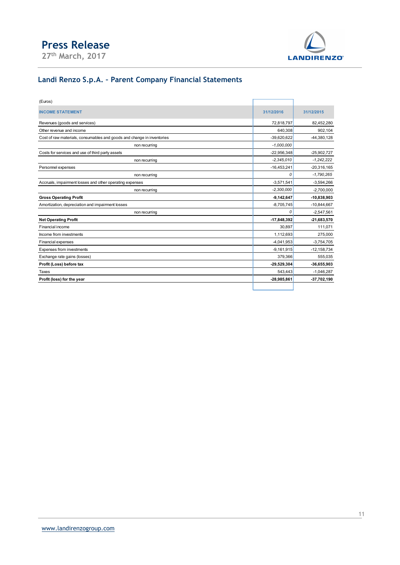

## Landi Renzo S.p.A. – Parent Company Financial Statements

| <b>Press Release</b>                                                   |               |                   |
|------------------------------------------------------------------------|---------------|-------------------|
| 27th March, 2017                                                       |               | <b>LANDIRENZO</b> |
| Landi Renzo S.p.A. - Parent Company Financial Statements               |               |                   |
| (Euros)                                                                |               |                   |
| <b>INCOME STATEMENT</b>                                                | 31/12/2016    | 31/12/2015        |
| Revenues (goods and services)                                          | 72,818,797    | 82,452,280        |
| Other revenue and income                                               | 640,308       | 902,104           |
| Cost of raw materials, consumables and goods and change in inventories | $-39,620,622$ | -44,380,128       |
| non recurring                                                          | $-1,000,000$  |                   |
| Costs for services and use of third party assets                       | $-22,956,348$ | $-25,902,727$     |
| non recurring                                                          | $-2,345,010$  | $-1,242,222$      |
| Personnel expenses                                                     | $-16,453,241$ | $-20,316,165$     |
| non recurring                                                          | 0             | $-1,790,265$      |
| Accruals, impairment losses and other operating expenses               | $-3,571,541$  | $-3,594,266$      |
| non recurring                                                          | $-2,300,000$  | $-2,700,000$      |
| <b>Gross Operating Profit</b>                                          | $-9,142,647$  | $-10,838,903$     |
| Amortization, depreciation and impairment losses                       | $-8,705,745$  | $-10,844,667$     |
| non recurring                                                          | 0             | $-2,547,561$      |
| <b>Net Operating Profit</b>                                            | $-17,848,392$ | -21,683,570       |
| Financial income                                                       | 30,897        | 111,071           |
| Income from investments                                                | 1,112,693     | 275,000           |
| Financial expenses                                                     | $-4,041,953$  | $-3,754,705$      |
| Expenses from investments                                              | $-9,161,915$  | $-12,158,734$     |
| Exchange rate gains (losses)                                           | 379,366       | 555,035           |
| Profit (Loss) before tax                                               | $-29,529,304$ | $-36,655,903$     |
| Taxes                                                                  | 543,443       | $-1,046,287$      |
| Profit (loss) for the year                                             | $-28,985,861$ | $-37,702,190$     |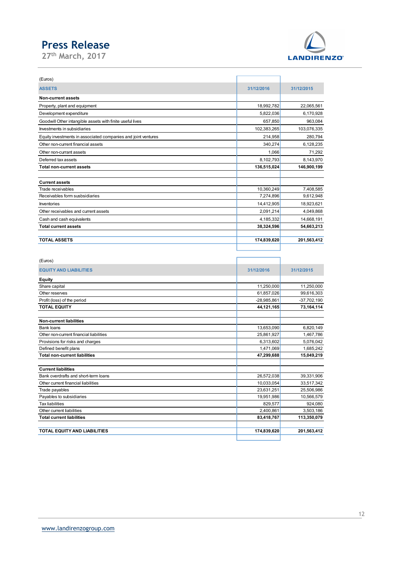

| <b>Press Release</b>                                          |                        |                        |
|---------------------------------------------------------------|------------------------|------------------------|
| 27 <sup>th</sup> March, 2017                                  |                        | <b>LANDIRENZO</b>      |
|                                                               |                        |                        |
|                                                               |                        |                        |
| (Euros)                                                       |                        |                        |
| <b>ASSETS</b>                                                 | 31/12/2016             | 31/12/2015             |
| <b>Non-current assets</b>                                     |                        |                        |
| Property, plant and equipment                                 | 18,992,782             | 22,065,561             |
| Development expenditure                                       | 5,822,036              | 6,170,928              |
| Goodwill Other intangible assets with finite useful lives     | 657,850                | 963,084                |
| Investments in subsidiaries                                   | 102,383,265            | 103,076,335            |
| Equity investments in associated companies and joint ventures | 214,958                | 280,794                |
| Other non-current financial assets                            | 340,274                | 6,128,235              |
| Other non-currant assets                                      | 1,066                  | 71,292                 |
| Deferred tax assets                                           | 8,102,793              | 8,143,970              |
| <b>Total non-current assets</b>                               | 136,515,024            | 146,900,199            |
|                                                               |                        |                        |
| <b>Current assets</b>                                         |                        |                        |
| Trade receivables                                             | 10,360,249             | 7,408,585              |
| Receivables form susbsidiaries                                | 7,274,896              | 9,612,948              |
| Inventories                                                   | 14,412,905             | 18,923,621             |
| Other receivables and current assets                          | 2,091,214              | 4,049,868              |
| Cash and cash equivalents                                     | 4,185,332              | 14,668,191             |
| <b>Total current assets</b>                                   | 38,324,596             | 54,663,213             |
| <b>TOTAL ASSETS</b>                                           |                        |                        |
|                                                               | 174,839,620            | 201,563,412            |
|                                                               |                        |                        |
| (Euros)                                                       |                        |                        |
| <b>EQUITY AND LIABILITIES</b>                                 | 31/12/2016             | 31/12/2015             |
|                                                               |                        |                        |
| <b>Equity</b><br>Share capital                                | 11,250,000             | 11,250,000             |
| Other reserves                                                | 61,857,026             | 99,616,303             |
| Profit (loss) of the period                                   | -28,985,861            | $-37,702,190$          |
| <b>TOTAL EQUITY</b>                                           | 44,121,165             | 73,164,114             |
|                                                               |                        |                        |
| <b>Non-current liabilities</b>                                |                        |                        |
| Bank loans                                                    | 13,653,090             | 6,820,149              |
| Other non-current financial liabilities                       | 25,861,927             | 1,467,786              |
| Provisions for risks and charges<br>Defined benefit plans     | 6,313,602<br>1.471.069 | 5,076,042<br>1.685.242 |
|                                                               |                        |                        |

| Other non-currant assets                | 1,066         | 71,292        |
|-----------------------------------------|---------------|---------------|
| Deferred tax assets                     | 8,102,793     | 8,143,970     |
| <b>Total non-current assets</b>         | 136,515,024   | 146,900,199   |
|                                         |               |               |
| <b>Current assets</b>                   |               |               |
| Trade receivables                       | 10,360,249    | 7,408,585     |
| Receivables form susbsidiaries          | 7,274,896     | 9,612,948     |
| Inventories                             | 14,412,905    | 18,923,621    |
| Other receivables and current assets    | 2,091,214     | 4,049,868     |
| Cash and cash equivalents               | 4,185,332     | 14,668,191    |
| <b>Total current assets</b>             | 38,324,596    | 54,663,213    |
|                                         |               |               |
| <b>TOTAL ASSETS</b>                     | 174,839,620   | 201,563,412   |
|                                         |               |               |
|                                         |               |               |
| (Euros)                                 |               |               |
|                                         |               |               |
| <b>EQUITY AND LIABILITIES</b>           | 31/12/2016    | 31/12/2015    |
| Equity                                  |               |               |
| Share capital                           | 11,250,000    | 11,250,000    |
| Other reserves                          | 61,857,026    | 99,616,303    |
| Profit (loss) of the period             | $-28,985,861$ | $-37,702,190$ |
| <b>TOTAL EQUITY</b>                     | 44, 121, 165  | 73,164,114    |
|                                         |               |               |
| <b>Non-current liabilities</b>          |               |               |
| Bank loans                              | 13,653,090    | 6,820,149     |
| Other non-current financial liabilities | 25,861,927    | 1,467,786     |
| Provisions for risks and charges        | 6,313,602     | 5,076,042     |
| Defined benefit plans                   | 1,471,069     | 1,685,242     |
| <b>Total non-current liabilities</b>    | 47,299,688    | 15,049,219    |
|                                         |               |               |
| <b>Current liabilities</b>              |               |               |
| Bank overdrafts and short-term loans    | 26,572,038    | 39,331,906    |
| Other current financial liabilities     | 10,033,054    | 33,517,342    |
| Trade payables                          | 23,631,251    | 25,506,986    |
| Payables to subsidiaries                | 19,951,986    | 10,566,579    |
| <b>Tax liabilities</b>                  | 829,577       | 924,080       |
| Other current liabilities               | 2,400,861     | 3,503,186     |
| <b>Total current liabilities</b>        | 83,418,767    | 113,350,079   |
|                                         |               |               |
|                                         | 174,839,620   | 201,563,412   |